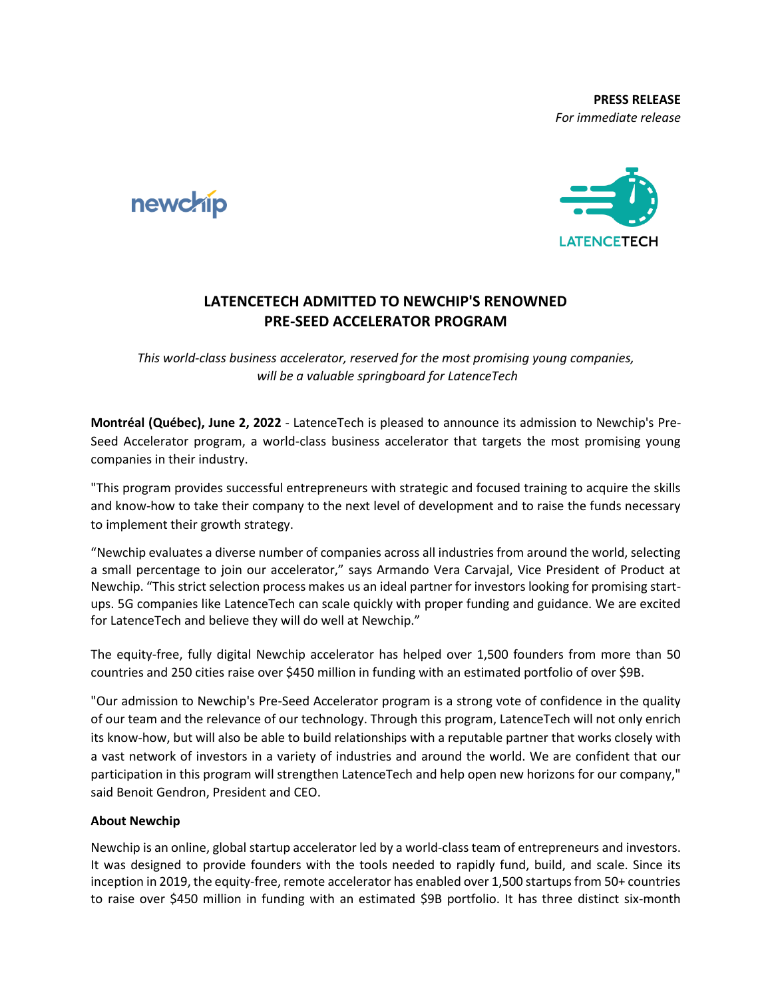



## **LATENCETECH ADMITTED TO NEWCHIP'S RENOWNED PRE-SEED ACCELERATOR PROGRAM**

*This world-class business accelerator, reserved for the most promising young companies, will be a valuable springboard for LatenceTech*

**Montréal (Québec), June 2, 2022** - LatenceTech is pleased to announce its admission to Newchip's Pre-Seed Accelerator program, a world-class business accelerator that targets the most promising young companies in their industry.

"This program provides successful entrepreneurs with strategic and focused training to acquire the skills and know-how to take their company to the next level of development and to raise the funds necessary to implement their growth strategy.

"Newchip evaluates a diverse number of companies across all industries from around the world, selecting a small percentage to join our accelerator," says Armando Vera Carvajal, Vice President of Product at Newchip. "This strict selection process makes us an ideal partner for investors looking for promising startups. 5G companies like LatenceTech can scale quickly with proper funding and guidance. We are excited for LatenceTech and believe they will do well at Newchip."

The equity-free, fully digital Newchip accelerator has helped over 1,500 founders from more than 50 countries and 250 cities raise over \$450 million in funding with an estimated portfolio of over \$9B.

"Our admission to Newchip's Pre-Seed Accelerator program is a strong vote of confidence in the quality of our team and the relevance of our technology. Through this program, LatenceTech will not only enrich its know-how, but will also be able to build relationships with a reputable partner that works closely with a vast network of investors in a variety of industries and around the world. We are confident that our participation in this program will strengthen LatenceTech and help open new horizons for our company," said Benoit Gendron, President and CEO.

## **About Newchip**

Newchip is an online, global startup accelerator led by a world-class team of entrepreneurs and investors. It was designed to provide founders with the tools needed to rapidly fund, build, and scale. Since its inception in 2019, the equity-free, remote accelerator has enabled over 1,500 startups from 50+ countries to raise over \$450 million in funding with an estimated \$9B portfolio. It has three distinct six-month